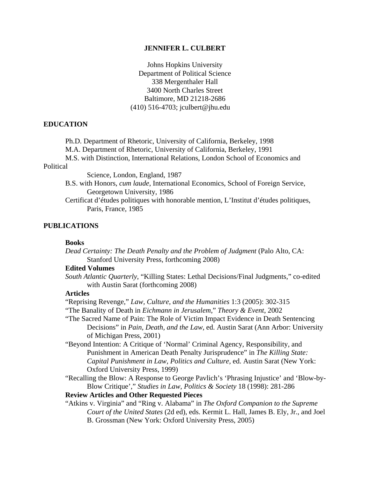#### **JENNIFER L. CULBERT**

Johns Hopkins University Department of Political Science 338 Mergenthaler Hall 3400 North Charles Street Baltimore, MD 21218-2686 (410) 516-4703; jculbert@jhu.edu

#### **EDUCATION**

Ph.D. Department of Rhetoric, University of California, Berkeley, 1998

M.A. Department of Rhetoric, University of California, Berkeley, 1991

M.S. with Distinction, International Relations, London School of Economics and

# Political

Science, London, England, 1987

- B.S. with Honors, *cum laude*, International Economics, School of Foreign Service, Georgetown University, 1986
- Certificat d'études politiques with honorable mention, L'Institut d'études politiques, Paris, France, 1985

#### **PUBLICATIONS**

### **Books**

*Dead Certainty: The Death Penalty and the Problem of Judgment* (Palo Alto, CA: Stanford University Press, forthcoming 2008)

### **Edited Volumes**

*South Atlantic Quarterly*, "Killing States: Lethal Decisions/Final Judgments," co-edited with Austin Sarat (forthcoming 2008)

#### **Articles**

"Reprising Revenge," *Law, Culture, and the Humanities* 1:3 (2005): 302-315

- "The Banality of Death in *Eichmann in Jerusalem*," *Theory & Event*, 2002
- "The Sacred Name of Pain: The Role of Victim Impact Evidence in Death Sentencing Decisions" in *Pain, Death, and the Law*, ed. Austin Sarat (Ann Arbor: University of Michigan Press, 2001)
- "Beyond Intention: A Critique of 'Normal' Criminal Agency, Responsibility, and Punishment in American Death Penalty Jurisprudence" in *The Killing State: Capital Punishment in Law, Politics and Culture,* ed. Austin Sarat (New York: Oxford University Press, 1999)
- "Recalling the Blow: A Response to George Pavlich's 'Phrasing Injustice' and 'Blow-by-Blow Critique'," *Studies in Law, Politics & Society* 18 (1998): 281-286

#### **Review Articles and Other Requested Pieces**

"Atkins v. Virginia" and "Ring v. Alabama" in *The Oxford Companion to the Supreme Court of the United States* (2d ed), eds. Kermit L. Hall, James B. Ely, Jr., and Joel B. Grossman (New York: Oxford University Press, 2005)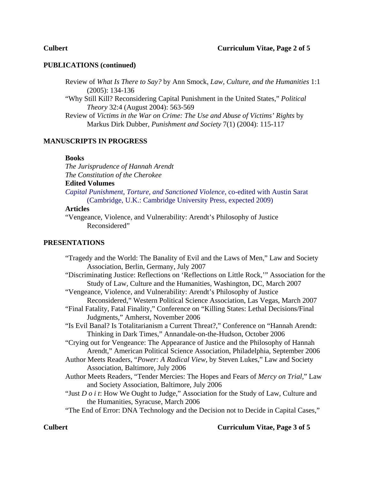# **PUBLICATIONS (continued)**

Review of *What Is There to Say?* by Ann Smock, *Law, Culture, and the Humanities* 1:1 (2005): 134-136

"Why Still Kill? Reconsidering Capital Punishment in the United States," *Political Theory* 32:4 (August 2004): 563-569

Review of *Victims in the War on Crime: The Use and Abuse of Victims' Rights* by Markus Dirk Dubber, *Punishment and Society* 7(1) (2004): 115-117

# **MANUSCRIPTS IN PROGRESS**

#### **Books**

*The Jurisprudence of Hannah Arendt The Constitution of the Cherokee* **Edited Volumes**  *Capital Punishment, Torture, and Sanctioned Violence*, co-edited with Austin Sarat (Cambridge, U.K.: Cambridge University Press, expected 2009)

#### **Articles**

"Vengeance, Violence, and Vulnerability: Arendt's Philosophy of Justice Reconsidered"

# **PRESENTATIONS**

| "Tragedy and the World: The Banality of Evil and the Laws of Men," Law and Society         |
|--------------------------------------------------------------------------------------------|
| Association, Berlin, Germany, July 2007                                                    |
| "Discriminating Justice: Reflections on 'Reflections on Little Rock," Association for the  |
| Study of Law, Culture and the Humanities, Washington, DC, March 2007                       |
| "Vengeance, Violence, and Vulnerability: Arendt's Philosophy of Justice                    |
| Reconsidered," Western Political Science Association, Las Vegas, March 2007                |
| "Final Fatality, Fatal Finality," Conference on "Killing States: Lethal Decisions/Final    |
| Judgments," Amherst, November 2006                                                         |
| "Is Evil Banal? Is Totalitarianism a Current Threat?," Conference on "Hannah Arendt:       |
| Thinking in Dark Times," Annandale-on-the-Hudson, October 2006                             |
| "Crying out for Vengeance: The Appearance of Justice and the Philosophy of Hannah          |
| Arendt," American Political Science Association, Philadelphia, September 2006              |
| Author Meets Readers, "Power: A Radical View, by Steven Lukes," Law and Society            |
| Association, Baltimore, July 2006                                                          |
| Author Meets Readers, "Tender Mercies: The Hopes and Fears of Mercy on Trial," Law         |
| and Society Association, Baltimore, July 2006                                              |
| "Just $D \circ i$ i: How We Ought to Judge," Association for the Study of Law, Culture and |
| the Humanities, Syracuse, March 2006                                                       |
| "The End of Error: DNA Technology and the Decision not to Decide in Capital Cases,"        |

### **Culbert Curriculum Vitae, Page 3 of 5**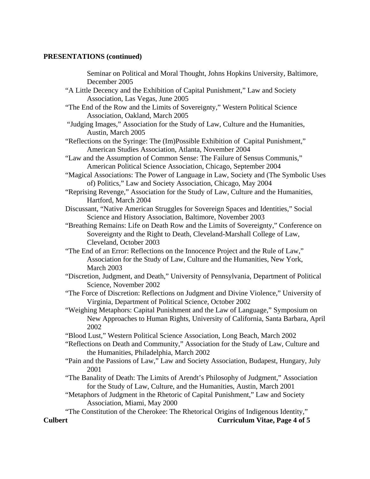## **PRESENTATIONS (continued)**

Seminar on Political and Moral Thought, Johns Hopkins University, Baltimore, December 2005 "A Little Decency and the Exhibition of Capital Punishment," Law and Society Association, Las Vegas, June 2005 "The End of the Row and the Limits of Sovereignty," Western Political Science Association, Oakland, March 2005 "Judging Images," Association for the Study of Law, Culture and the Humanities, Austin, March 2005 "Reflections on the Syringe: The (Im)Possible Exhibition of Capital Punishment," American Studies Association, Atlanta, November 2004 "Law and the Assumption of Common Sense: The Failure of Sensus Communis," American Political Science Association, Chicago, September 2004 "Magical Associations: The Power of Language in Law, Society and (The Symbolic Uses of) Politics," Law and Society Association, Chicago, May 2004 "Reprising Revenge," Association for the Study of Law, Culture and the Humanities, Hartford, March 2004 Discussant, "Native American Struggles for Sovereign Spaces and Identities," Social Science and History Association, Baltimore, November 2003 "Breathing Remains: Life on Death Row and the Limits of Sovereignty," Conference on Sovereignty and the Right to Death, Cleveland-Marshall College of Law, Cleveland, October 2003 "The End of an Error: Reflections on the Innocence Project and the Rule of Law," Association for the Study of Law, Culture and the Humanities, New York, March 2003 "Discretion, Judgment, and Death," University of Pennsylvania, Department of Political Science, November 2002 "The Force of Discretion: Reflections on Judgment and Divine Violence," University of Virginia, Department of Political Science, October 2002 "Weighing Metaphors: Capital Punishment and the Law of Language," Symposium on New Approaches to Human Rights, University of California, Santa Barbara, April 2002 "Blood Lust," Western Political Science Association, Long Beach, March 2002 "Reflections on Death and Community," Association for the Study of Law, Culture and the Humanities, Philadelphia, March 2002 "Pain and the Passions of Law," Law and Society Association, Budapest, Hungary, July 2001 "The Banality of Death: The Limits of Arendt's Philosophy of Judgment," Association for the Study of Law, Culture, and the Humanities, Austin, March 2001 "Metaphors of Judgment in the Rhetoric of Capital Punishment," Law and Society Association, Miami, May 2000 "The Constitution of the Cherokee: The Rhetorical Origins of Indigenous Identity," **Culbert Curriculum Vitae, Page 4 of 5**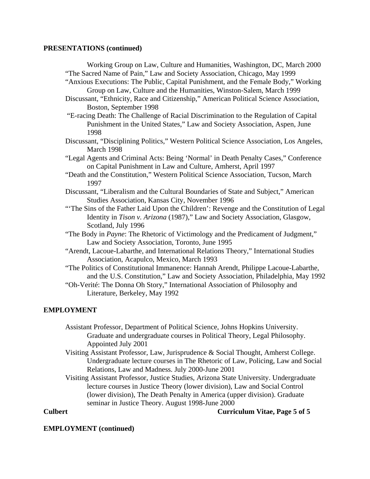# **PRESENTATIONS (continued)**

Working Group on Law, Culture and Humanities, Washington, DC, March 2000 "The Sacred Name of Pain," Law and Society Association, Chicago, May 1999 "Anxious Executions: The Public, Capital Punishment, and the Female Body," Working Group on Law, Culture and the Humanities, Winston-Salem, March 1999 Discussant, "Ethnicity, Race and Citizenship," American Political Science Association, Boston, September 1998 "E-racing Death: The Challenge of Racial Discrimination to the Regulation of Capital Punishment in the United States," Law and Society Association, Aspen, June 1998 Discussant, "Disciplining Politics," Western Political Science Association, Los Angeles, March 1998 "Legal Agents and Criminal Acts: Being 'Normal' in Death Penalty Cases," Conference on Capital Punishment in Law and Culture, Amherst, April 1997 "Death and the Constitution," Western Political Science Association, Tucson, March 1997 Discussant, "Liberalism and the Cultural Boundaries of State and Subject," American Studies Association, Kansas City, November 1996 "'The Sins of the Father Laid Upon the Children': Revenge and the Constitution of Legal Identity in *Tison v. Arizona* (1987)," Law and Society Association, Glasgow, Scotland, July 1996 "The Body in *Payne*: The Rhetoric of Victimology and the Predicament of Judgment,"

- Law and Society Association, Toronto, June 1995 "Arendt, Lacoue-Labarthe, and International Relations Theory," International Studies Association, Acapulco, Mexico, March 1993
- "The Politics of Constitutional Immanence: Hannah Arendt, Philippe Lacoue-Labarthe, and the U.S. Constitution," Law and Society Association, Philadelphia, May 1992
- "Oh-Verité: The Donna Oh Story," International Association of Philosophy and Literature, Berkeley, May 1992

# **EMPLOYMENT**

 Assistant Professor, Department of Political Science, Johns Hopkins University. Graduate and undergraduate courses in Political Theory, Legal Philosophy. Appointed July 2001

Visiting Assistant Professor, Law, Jurisprudence & Social Thought, Amherst College. Undergraduate lecture courses in The Rhetoric of Law, Policing, Law and Social Relations, Law and Madness. July 2000-June 2001

Visiting Assistant Professor, Justice Studies, Arizona State University. Undergraduate lecture courses in Justice Theory (lower division), Law and Social Control (lower division), The Death Penalty in America (upper division). Graduate seminar in Justice Theory. August 1998-June 2000

### **Culbert Curriculum Vitae, Page 5 of 5**

# **EMPLOYMENT (continued)**